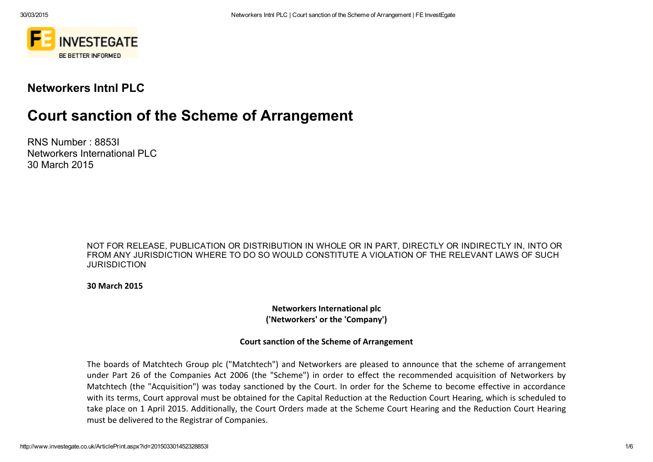

## Networkers Intnl PLC

# Court sanction of the Scheme of Arrangement

RNS Number : 8853I Networkers International PLC 30 March 2015

> NOT FOR RELEASE, PUBLICATION OR DISTRIBUTION IN WHOLE OR IN PART, DIRECTLY OR INDIRECTLY IN, INTO OR FROM ANY JURISDICTION WHERE TO DO SO WOULD CONSTITUTE A VIOLATION OF THE RELEVANT LAWS OF SUCH JURISDICTION

30 March 2015

Networkers International plc ('Networkers' or the 'Company')

#### Court sanction of the Scheme of Arrangement

The boards of Matchtech Group plc ("Matchtech") and Networkers are pleased to announce that the scheme of arrangement under Part 26 of the Companies Act 2006 (the "Scheme") in order to effect the recommended acquisition of Networkers by Matchtech (the "Acquisition") was today sanctioned by the Court. In order for the Scheme to become effective in accordance with its terms, Court approval must be obtained for the Capital Reduction at the Reduction Court Hearing, which is scheduled to take place on 1 April 2015. Additionally, the Court Orders made at the Scheme Court Hearing and the Reduction Court Hearing must be delivered to the Registrar of Companies.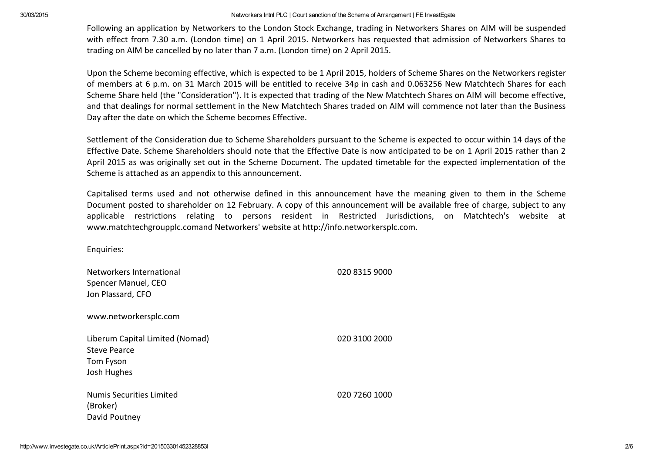#### 30/03/2015 Networkers Intnl PLC | Court sanction of the Scheme of Arrangement | FE InvestEgate

Following an application by Networkers to the London Stock Exchange, trading in Networkers Shares on AIM will be suspended with effect from 7.30 a.m. (London time) on 1 April 2015. Networkers has requested that admission of Networkers Shares to trading on AIM be cancelled by no later than 7 a.m. (London time) on 2 April 2015.

Upon the Scheme becoming effective, which is expected to be 1 April 2015, holders of Scheme Shares on the Networkers register of members at 6 p.m. on 31 March 2015 will be entitled to receive 34p in cash and 0.063256 New Matchtech Shares for each Scheme Share held (the "Consideration"). It is expected that trading of the New Matchtech Shares on AIM will become effective, and that dealings for normal settlement in the New Matchtech Shares traded on AIM will commence not later than the Business Day after the date on which the Scheme becomes Effective.

Settlement of the Consideration due to Scheme Shareholders pursuant to the Scheme is expected to occur within 14 days of the Effective Date. Scheme Shareholders should note that the Effective Date is now anticipated to be on 1 April 2015 rather than 2 April 2015 as was originally set out in the Scheme Document. The updated timetable for the expected implementation of the Scheme is attached as an appendix to this announcement.

Capitalised terms used and not otherwise defined in this announcement have the meaning given to them in the Scheme Document posted to shareholder on 12 February. A copy of this announcement will be available free of charge, subject to any applicable restrictions relating to persons resident in Restricted Jurisdictions, on Matchtech's website at www.matchtechgroupplc.comand Networkers' website at http://info.networkersplc.com.

Enquiries:

| Networkers International<br>Spencer Manuel, CEO<br>Jon Plassard, CFO               | 020 8315 9000 |
|------------------------------------------------------------------------------------|---------------|
| www.networkersplc.com                                                              |               |
| Liberum Capital Limited (Nomad)<br><b>Steve Pearce</b><br>Tom Fyson<br>Josh Hughes | 020 3100 2000 |
| <b>Numis Securities Limited</b><br>(Broker)<br>David Poutney                       | 020 7260 1000 |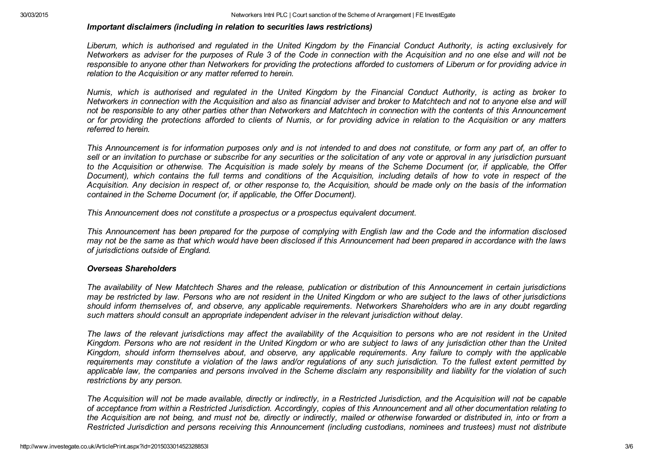#### *Important disclaimers (including in relation to securities laws restrictions)*

Liberum, which is authorised and regulated in the United Kingdom by the Financial Conduct Authority, is acting exclusively for Networkers as adviser for the purposes of Rule 3 of the Code in connection with the Acquisition and no one else and will not be responsible to anyone other than Networkers for providing the protections afforded to customers of Liberum or for providing advice in *relation to the Acquisition or any matter referred to herein.*

Numis, which is authorised and regulated in the United Kingdom by the Financial Conduct Authority, is acting as broker to Networkers in connection with the Acquisition and also as financial adviser and broker to Matchtech and not to anyone else and will not be responsible to any other parties other than Networkers and Matchtech in connection with the contents of this Announcement or for providing the protections afforded to clients of Numis, or for providing advice in relation to the Acquisition or any matters *referred to herein.*

This Announcement is for information purposes only and is not intended to and does not constitute, or form any part of, an offer to sell or an invitation to purchase or subscribe for any securities or the solicitation of any vote or approval in any jurisdiction pursuant to the Acquisition or otherwise. The Acquisition is made solely by means of the Scheme Document (or, if applicable, the Offer Document), which contains the full terms and conditions of the Acquisition, including details of how to vote in respect of the Acquisition. Any decision in respect of, or other response to, the Acquisition, should be made only on the basis of the information *contained in the Scheme Document (or, if applicable, the Offer Document).*

*This Announcement does not constitute a prospectus or a prospectus equivalent document.*

This Announcement has been prepared for the purpose of complying with English law and the Code and the information disclosed may not be the same as that which would have been disclosed if this Announcement had been prepared in accordance with the laws *of jurisdictions outside of England.*

#### *Overseas Shareholders*

The availability of New Matchtech Shares and the release, publication or distribution of this Announcement in certain jurisdictions may be restricted by law. Persons who are not resident in the United Kingdom or who are subject to the laws of other jurisdictions should inform themselves of, and observe, any applicable requirements. Networkers Shareholders who are in any doubt regarding *such matters should consult an appropriate independent adviser in the relevant jurisdiction without delay.*

The laws of the relevant jurisdictions may affect the availability of the Acquisition to persons who are not resident in the United Kingdom. Persons who are not resident in the United Kingdom or who are subject to laws of any jurisdiction other than the United Kingdom, should inform themselves about, and observe, any applicable requirements. Any failure to comply with the applicable requirements may constitute a violation of the laws and/or requlations of any such jurisdiction. To the fullest extent permitted by applicable law, the companies and persons involved in the Scheme disclaim any responsibility and liability for the violation of such *restrictions by any person.*

The Acquisition will not be made available, directly or indirectly, in a Restricted Jurisdiction, and the Acquisition will not be capable of acceptance from within a Restricted Jurisdiction. Accordingly, copies of this Announcement and all other documentation relating to the Acquisition are not being, and must not be, directly or indirectly, mailed or otherwise forwarded or distributed in, into or from a Restricted Jurisdiction and persons receiving this Announcement (including custodians, nominees and trustees) must not distribute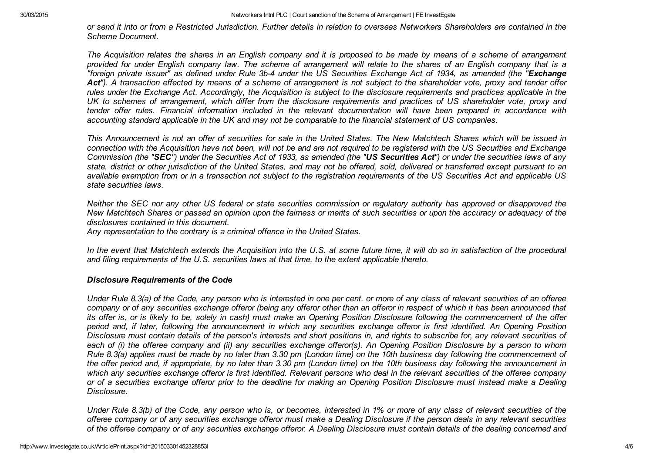or send it into or from a Restricted Jurisdiction. Further details in relation to overseas Networkers Shareholders are contained in the *Scheme Document.*

The Acquisition relates the shares in an English company and it is proposed to be made by means of a scheme of arrangement provided for under English company law. The scheme of arrangement will relate to the shares of an English company that is a "foreign private issuer" as defined under Rule 3b-4 under the US Securities Exchange Act of 1934, as amended (the "Exchange Act"). A transaction effected by means of a scheme of arrangement is not subject to the shareholder vote, proxy and tender offer rules under the Exchange Act. Accordingly, the Acquisition is subject to the disclosure requirements and practices applicable in the UK to schemes of arrangement, which differ from the disclosure requirements and practices of US shareholder vote, proxy and tender offer rules. Financial information included in the relevant documentation will have been prepared in accordance with accounting standard applicable in the UK and may not be comparable to the financial statement of US companies.

This Announcement is not an offer of securities for sale in the United States. The New Matchtech Shares which will be issued in connection with the Acquisition have not been, will not be and are not required to be registered with the US Securities and Exchange Commission (the "SEC") under the Securities Act of 1933, as amended (the "US Securities Act") or under the securities laws of any state, district or other jurisdiction of the United States, and may not be offered, sold, delivered or transferred except pursuant to an available exemption from or in a transaction not subject to the registration requirements of the US Securities Act and applicable US *state securities laws.*

Neither the SEC nor any other US federal or state securities commission or regulatory authority has approved or disapproved the New Matchtech Shares or passed an opinion upon the fairness or merits of such securities or upon the accuracy or adequacy of the *disclosures contained in this document.*

*Any representation to the contrary is a criminal offence in the United States.*

In the event that Matchtech extends the Acquisition into the U.S. at some future time, it will do so in satisfaction of the procedural *and filing requirements of the U.S. securities laws at that time, to the extent applicable thereto.*

#### *Disclosure Requirements of the Code*

Under Rule 8.3(a) of the Code, any person who is interested in one per cent, or more of any class of relevant securities of an offeree company or of any securities exchange offeror (being any offeror other than an offeror in respect of which it has been announced that its offer is, or is likely to be, solely in cash) must make an Opening Position Disclosure following the commencement of the offer period and, if later, following the announcement in which any securities exchange offeror is first identified. An Opening Position Disclosure must contain details of the person's interests and short positions in, and rights to subscribe for, any relevant securities of each of (i) the offeree company and (ii) any securities exchange offeror(s). An Opening Position Disclosure by a person to whom Rule 8.3(a) applies must be made by no later than 3.30 pm (London time) on the 10th business day following the commencement of the offer period and, if appropriate, by no later than 3.30 pm (London time) on the 10th business day following the announcement in which any securities exchange offeror is first identified. Relevant persons who deal in the relevant securities of the offeree company or of a securities exchange offeror prior to the deadline for making an Opening Position Disclosure must instead make a Dealing *Disclosure.*

Under Rule 8.3(b) of the Code, any person who is, or becomes, interested in 1% or more of any class of relevant securities of the offeree company or of any securities exchange offeror must make a Dealing Disclosure if the person deals in any relevant securities of the offeree company or of any securities exchange offeror. A Dealing Disclosure must contain details of the dealing concerned and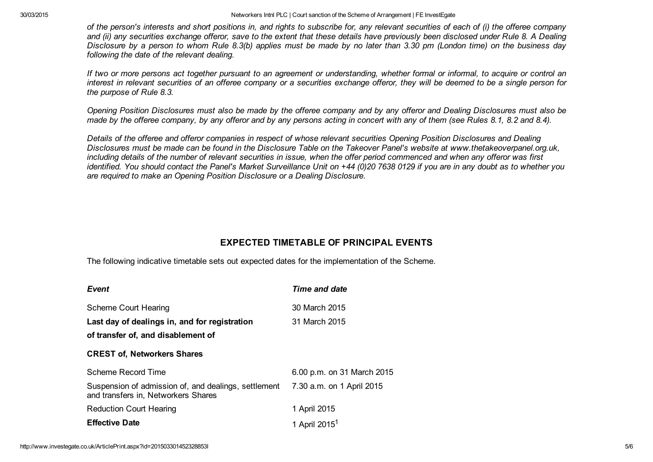30/03/2015 Networkers Intnl PLC | Court sanction of the Scheme of Arrangement | FE InvestEgate

of the person's interests and short positions in, and rights to subscribe for, any relevant securities of each of (i) the offeree company and (ii) any securities exchange offeror, save to the extent that these details have previously been disclosed under Rule 8. A Dealing Disclosure by a person to whom Rule 8.3(b) applies must be made by no later than 3.30 pm (London time) on the business day *following the date of the relevant dealing.*

If two or more persons act together pursuant to an agreement or understanding, whether formal or informal, to acquire or control an interest in relevant securities of an offeree company or a securities exchange offeror, they will be deemed to be a single person for *the purpose of Rule 8.3.*

Opening Position Disclosures must also be made by the offeree company and by any offeror and Dealing Disclosures must also be made by the offeree company, by any offeror and by any persons acting in concert with any of them (see Rules 8.1, 8.2 and 8.4).

Details of the offeree and offeror companies in respect of whose relevant securities Opening Position Disclosures and Dealing Disclosures must be made can be found in the Disclosure Table on the Takeover Panel's website at www.thetakeoverpanel.org.uk, including details of the number of relevant securities in issue, when the offer period commenced and when any offeror was first identified. You should contact the Panel's Market Surveillance Unit on +44 (0)20 7638 0129 if you are in any doubt as to whether you *are required to make an Opening Position Disclosure or a Dealing Disclosure.*

### EXPECTED TIMETABLE OF PRINCIPAL EVENTS

The following indicative timetable sets out expected dates for the implementation of the Scheme.

| Event                                                                                       | Time and date              |
|---------------------------------------------------------------------------------------------|----------------------------|
| Scheme Court Hearing                                                                        | 30 March 2015              |
| Last day of dealings in, and for registration                                               | 31 March 2015              |
| of transfer of, and disablement of                                                          |                            |
| <b>CREST of, Networkers Shares</b>                                                          |                            |
| Scheme Record Time                                                                          | 6.00 p.m. on 31 March 2015 |
| Suspension of admission of, and dealings, settlement<br>and transfers in, Networkers Shares | 7.30 a.m. on 1 April 2015  |
| <b>Reduction Court Hearing</b>                                                              | 1 April 2015               |
| <b>Effective Date</b>                                                                       | 1 April 2015 <sup>1</sup>  |